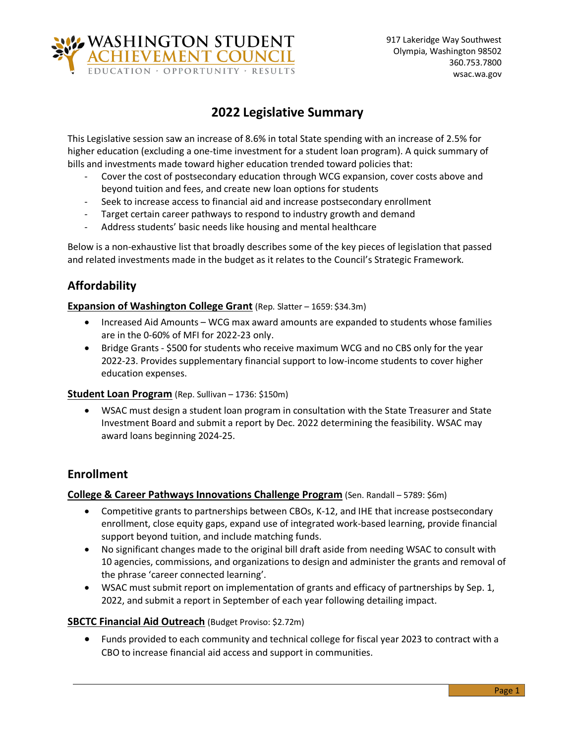

# **2022 Legislative Summary**

This Legislative session saw an increase of 8.6% in total State spending with an increase of 2.5% for higher education (excluding a one-time investment for a student loan program). A quick summary of bills and investments made toward higher education trended toward policies that:

- Cover the cost of postsecondary education through WCG expansion, cover costs above and beyond tuition and fees, and create new loan options for students
- Seek to increase access to financial aid and increase postsecondary enrollment
- Target certain career pathways to respond to industry growth and demand
- Address students' basic needs like housing and mental healthcare

Below is a non-exhaustive list that broadly describes some of the key pieces of legislation that passed and related investments made in the budget as it relates to the Council's Strategic Framework.

## **Affordability**

#### **Expansion of Washington College Grant** (Rep. Slatter – 1659: \$34.3m)

- Increased Aid Amounts WCG max award amounts are expanded to students whose families are in the 0-60% of MFI for 2022-23 only.
- Bridge Grants \$500 for students who receive maximum WCG and no CBS only for the year 2022-23. Provides supplementary financial support to low-income students to cover higher education expenses.

#### **Student Loan Program** (Rep. Sullivan – 1736: \$150m)

• WSAC must design a student loan program in consultation with the State Treasurer and State Investment Board and submit a report by Dec. 2022 determining the feasibility. WSAC may award loans beginning 2024-25.

## **Enrollment**

#### **College & Career Pathways Innovations Challenge Program** (Sen. Randall – 5789: \$6m)

- Competitive grants to partnerships between CBOs, K-12, and IHE that increase postsecondary enrollment, close equity gaps, expand use of integrated work-based learning, provide financial support beyond tuition, and include matching funds.
- No significant changes made to the original bill draft aside from needing WSAC to consult with 10 agencies, commissions, and organizations to design and administer the grants and removal of the phrase 'career connected learning'.
- WSAC must submit report on implementation of grants and efficacy of partnerships by Sep. 1, 2022, and submit a report in September of each year following detailing impact.

#### **SBCTC Financial Aid Outreach** (Budget Proviso: \$2.72m)

• Funds provided to each community and technical college for fiscal year 2023 to contract with a CBO to increase financial aid access and support in communities.